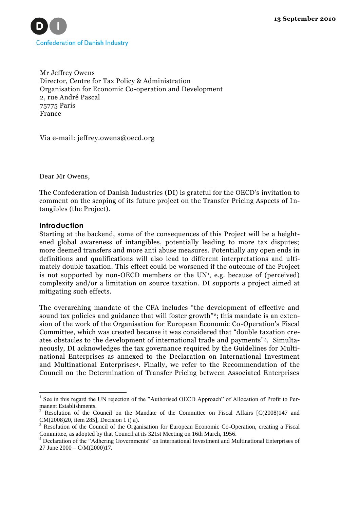

Mr Jeffrey Owens Director, Centre for Tax Policy & Administration Organisation for Economic Co-operation and Development 2, rue André Pascal 75775 Paris France

Via e-mail: jeffrey.owens@oecd.org

Dear Mr Owens,

The Confederation of Danish Industries (DI) is grateful for the OECD's invitation to comment on the scoping of its future project on the Transfer Pricing Aspects of Intangibles (the Project).

#### **Introduction**

1

Starting at the backend, some of the consequences of this Project will be a heightened global awareness of intangibles, potentially leading to more tax disputes; more deemed transfers and more anti abuse measures. Potentially any open ends in definitions and qualifications will also lead to different interpretations and ultimately double taxation. This effect could be worsened if the outcome of the Project is not supported by non-OECD members or the UN<sup>1</sup>, e.g. because of (perceived) complexity and/or a limitation on source taxation. DI supports a project aimed at mitigating such effects.

The overarching mandate of the CFA includes "the development of effective and sound tax policies and guidance that will foster growth"<sup>2</sup> ; this mandate is an extension of the work of the Organisation for European Economic Co-Operation's Fiscal Committee, which was created because it was considered that "double taxation cr eates obstacles to the development of international trade and payments"<sup>3</sup>. Simultaneously, DI acknowledges the tax governance required by the Guidelines for Multinational Enterprises as annexed to the Declaration on International Investment and Multinational Enterprises<sup>4</sup> . Finally, we refer to the Recommendation of the Council on the Determination of Transfer Pricing between Associated Enterprises

<sup>&</sup>lt;sup>1</sup> See in this regard the UN rejection of the "Authorised OECD Approach" of Allocation of Profit to Permanent Establishments.

Resolution of the Council on the Mandate of the Committee on Fiscal Affairs [C(2008)147 and CM(2008)20, item 285], Decision 1 i) a).

<sup>3</sup> Resolution of the Council of the Organisation for European Economic Co-Operation, creating a Fiscal Committee, as adopted by that Council at its 321st Meeting on 16th March, 1956.

<sup>4</sup> Declaration of the "Adhering Governments" on International Investment and Multinational Enterprises of 27 June 2000 – C/M(2000)17.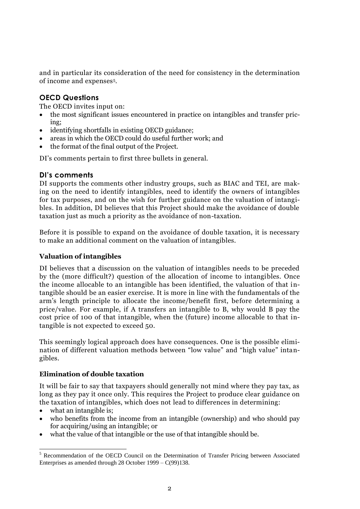and in particular its consideration of the need for consistency in the determination of income and expenses<sup>5</sup> .

# **OECD Questions**

The OECD invites input on:

- the most significant issues encountered in practice on intangibles and transfer pricing;
- identifying shortfalls in existing OECD guidance;
- areas in which the OECD could do useful further work; and
- the format of the final output of the Project.

DI's comments pertain to first three bullets in general.

## **DI's comments**

DI supports the comments other industry groups, such as BIAC and TEI, are making on the need to identify intangibles, need to identify the owners of intangibles for tax purposes, and on the wish for further guidance on the valuation of intangibles. In addition, DI believes that this Project should make the avoidance of double taxation just as much a priority as the avoidance of non-taxation.

Before it is possible to expand on the avoidance of double taxation, it is necessary to make an additional comment on the valuation of intangibles.

### **Valuation of intangibles**

DI believes that a discussion on the valuation of intangibles needs to be preceded by the (more difficult?) question of the allocation of income to intangibles. Once the income allocable to an intangible has been identified, the valuation of that intangible should be an easier exercise. It is more in line with the fundamentals of the arm's length principle to allocate the income/benefit first, before determining a price/value. For example, if A transfers an intangible to B, why would B pay the cost price of 100 of that intangible, when the (future) income allocable to that intangible is not expected to exceed 50.

This seemingly logical approach does have consequences. One is the possible elimination of different valuation methods between "low value" and "high value" intangibles.

## **Elimination of double taxation**

It will be fair to say that taxpayers should generally not mind where they pay tax, as long as they pay it once only. This requires the Project to produce clear guidance on the taxation of intangibles, which does not lead to differences in determining:

- what an intangible is;
- who benefits from the income from an intangible (ownership) and who should pay for acquiring/using an intangible; or
- what the value of that intangible or the use of that intangible should be.

 $\ddot{\phantom{a}}$ <sup>5</sup> Recommendation of the OECD Council on the Determination of Transfer Pricing between Associated Enterprises as amended through 28 October 1999 – C(99)138.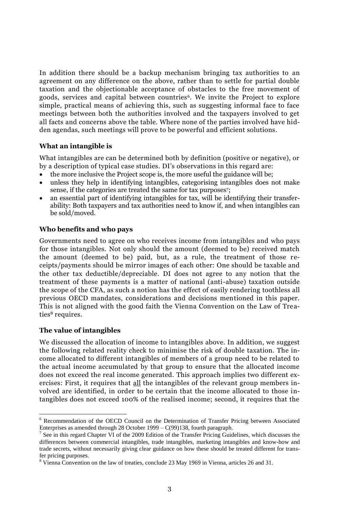In addition there should be a backup mechanism bringing tax authorities to an agreement on any difference on the above, rather than to settle for partial double taxation and the objectionable acceptance of obstacles to the free movement of goods, services and capital between countries<sup>6</sup> . We invite the Project to explore simple, practical means of achieving this, such as suggesting informal face to face meetings between both the authorities involved and the taxpayers involved to get all facts and concerns above the table. Where none of the parties involved have hidden agendas, such meetings will prove to be powerful and efficient solutions.

#### **What an intangible is**

What intangibles are can be determined both by definition (positive or negative), or by a description of typical case studies. DI's observations in this regard are:

- the more inclusive the Project scope is, the more useful the guidance will be;
- unless they help in identifying intangibles, categorising intangibles does not make sense, if the categories are treated the same for tax purposes<sup>7</sup>;
- an essential part of identifying intangibles for tax, will be identifying their transferability: Both taxpayers and tax authorities need to know if, and when intangibles can be sold/moved.

#### **Who benefits and who pays**

Governments need to agree on who receives income from intangibles and who pays for those intangibles. Not only should the amount (deemed to be) received match the amount (deemed to be) paid, but, as a rule, the treatment of those receipts/payments should be mirror images of each other: One should be taxable and the other tax deductible/depreciable. DI does not agree to any notion that the treatment of these payments is a matter of national (anti-abuse) taxation outside the scope of the CFA, as such a notion has the effect of easily rendering toothless all previous OECD mandates, considerations and decisions mentioned in this paper. This is not aligned with the good faith the Vienna Convention on the Law of Treaties<sup>8</sup> requires.

#### **The value of intangibles**

 $\ddot{\phantom{a}}$ 

We discussed the allocation of income to intangibles above. In addition, we suggest the following related reality check to minimise the risk of double taxation. The income allocated to different intangibles of members of a group need to be related to the actual income accumulated by that group to ensure that the allocated income does not exceed the real income generated. This approach implies two different exercises: First, it requires that all the intangibles of the relevant group members involved are identified, in order to be certain that the income allocated to those intangibles does not exceed 100% of the realised income; second, it requires that the

<sup>&</sup>lt;sup>6</sup> Recommendation of the OECD Council on the Determination of Transfer Pricing between Associated Enterprises as amended through 28 October 1999 –  $C(99)138$ , fourth paragraph.

<sup>7</sup> See in this regard Chapter VI of the 2009 Edition of the Transfer Pricing Guidelines, which discusses the differences between commercial intangibles, trade intangibles, marketing intangibles and know-how and trade secrets, without necessarily giving clear guidance on how these should be treated different for transfer pricing purposes.

<sup>8</sup> Vienna Convention on the law of treaties, conclude 23 May 1969 in Vienna, articles 26 and 31.